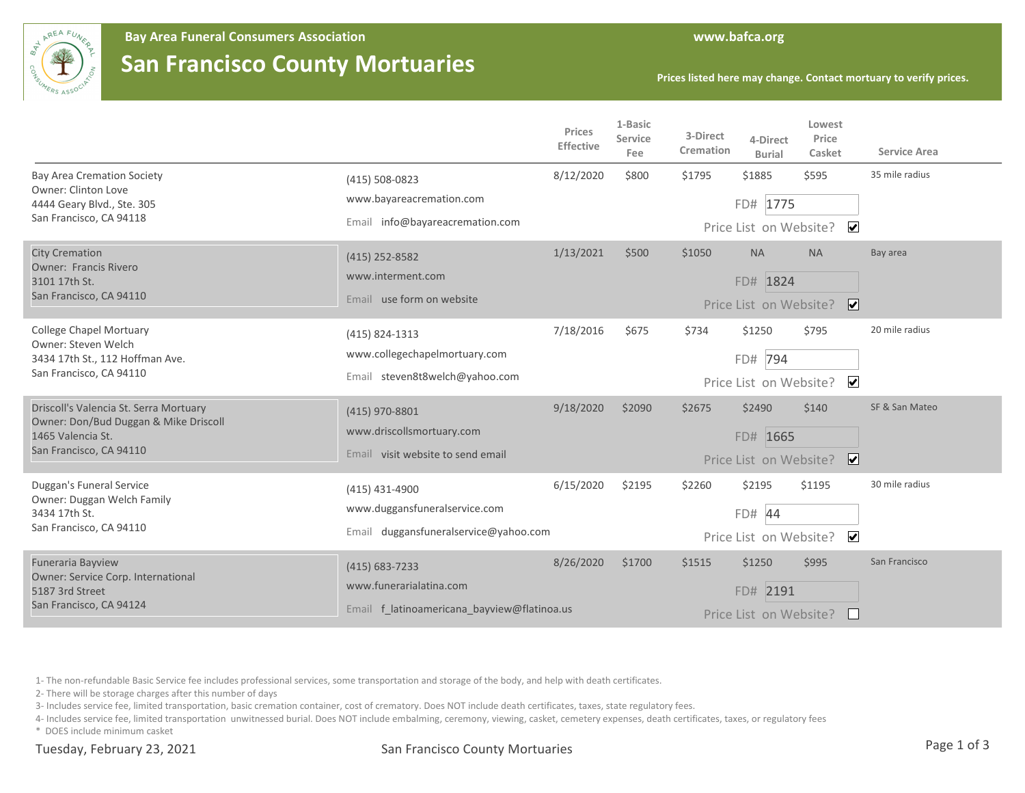

## **San Francisco County Mortuaries**

**Prices listed here may change. Contact mortuary to verify prices.**

|                                                                                                                                 |                                                                 | Prices<br>Effective | 1-Basic<br>Service<br>Fee | 3-Direct<br>Cremation  | 4-Direct<br><b>Burial</b> | Lowest<br>Price<br>Casket | <b>Service Area</b> |
|---------------------------------------------------------------------------------------------------------------------------------|-----------------------------------------------------------------|---------------------|---------------------------|------------------------|---------------------------|---------------------------|---------------------|
| <b>Bay Area Cremation Society</b><br>Owner: Clinton Love<br>4444 Geary Blvd., Ste. 305<br>San Francisco, CA 94118               | $(415) 508 - 0823$                                              | 8/12/2020           | \$800                     | \$1795                 | \$1885                    | \$595                     | 35 mile radius      |
|                                                                                                                                 | www.bayareacremation.com                                        |                     |                           |                        | FD# 1775                  |                           |                     |
|                                                                                                                                 | Email info@bayareacremation.com                                 |                     |                           |                        | Price List on Website?    | $\overline{\mathbf{v}}$   |                     |
| <b>City Cremation</b><br><b>Owner: Francis Rivero</b><br>3101 17th St.<br>San Francisco, CA 94110                               | $(415)$ 252-8582                                                | 1/13/2021           | \$500                     | \$1050                 | <b>NA</b>                 | <b>NA</b>                 | Bay area            |
|                                                                                                                                 | www.interment.com                                               |                     |                           |                        | FD# 1824                  |                           |                     |
|                                                                                                                                 | Email use form on website                                       |                     |                           |                        | Price List on Website?    | $\overline{\mathbf{v}}$   |                     |
| <b>College Chapel Mortuary</b><br>Owner: Steven Welch<br>3434 17th St., 112 Hoffman Ave.<br>San Francisco, CA 94110             | (415) 824-1313                                                  | 7/18/2016           | \$675                     | \$734                  | \$1250                    | \$795                     | 20 mile radius      |
|                                                                                                                                 | www.collegechapelmortuary.com<br>Email steven8t8welch@yahoo.com |                     |                           |                        | FD# 794                   |                           |                     |
|                                                                                                                                 |                                                                 |                     |                           |                        | Price List on Website?    | $\overline{\mathbf{v}}$   |                     |
| Driscoll's Valencia St. Serra Mortuary<br>Owner: Don/Bud Duggan & Mike Driscoll<br>1465 Valencia St.<br>San Francisco, CA 94110 | (415) 970-8801                                                  | 9/18/2020           | \$2090                    | \$2675                 | \$2490                    | \$140                     | SF & San Mateo      |
|                                                                                                                                 | www.driscollsmortuary.com                                       |                     |                           |                        | FD# 1665                  |                           |                     |
|                                                                                                                                 | Email visit website to send email                               |                     |                           |                        | Price List on Website?    | $\overline{\mathbf{v}}$   |                     |
| Duggan's Funeral Service<br>Owner: Duggan Welch Family<br>3434 17th St.<br>San Francisco, CA 94110                              | (415) 431-4900                                                  | 6/15/2020           | \$2195                    | \$2260                 | \$2195                    | \$1195                    | 30 mile radius      |
|                                                                                                                                 | www.duggansfuneralservice.com                                   |                     |                           | FD# 44                 |                           |                           |                     |
|                                                                                                                                 | Email duggansfuneralservice@yahoo.com                           |                     |                           | Price List on Website? | $\overline{\mathbf{v}}$   |                           |                     |
| Funeraria Bayview<br>Owner: Service Corp. International<br>5187 3rd Street<br>San Francisco, CA 94124                           | $(415) 683 - 7233$                                              | 8/26/2020           | \$1700                    | \$1515                 | \$1250                    | \$995                     | San Francisco       |
|                                                                                                                                 | www.funerarialatina.com                                         |                     |                           |                        | FD# 2191                  |                           |                     |
|                                                                                                                                 | Email f latinoamericana bayview@flatinoa.us                     |                     |                           |                        | Price List on Website?    |                           |                     |

1- The non-refundable Basic Service fee includes professional services, some transportation and storage of the body, and help with death certificates.

2- There will be storage charges after this number of days

3- Includes service fee, limited transportation, basic cremation container, cost of crematory. Does NOT include death certificates, taxes, state regulatory fees.

4- Includes service fee, limited transportation unwitnessed burial. Does NOT include embalming, ceremony, viewing, casket, cemetery expenses, death certificates, taxes, or regulatory fees

\* DOES include minimum casket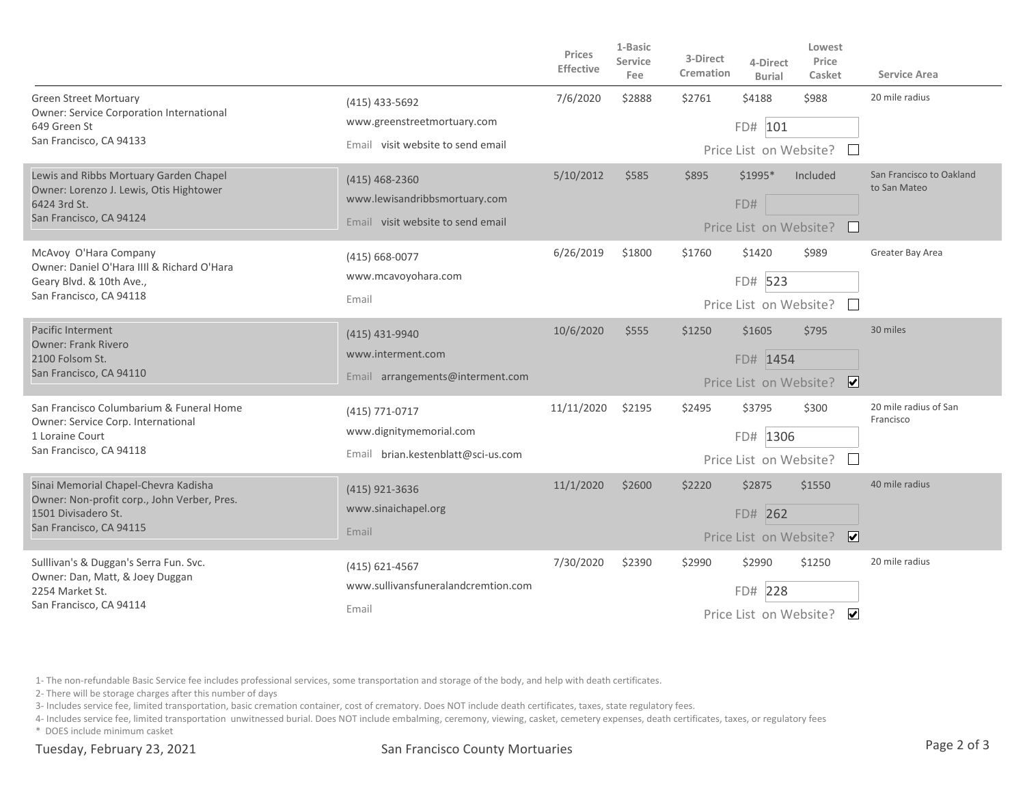|                                                                                                                                       |                                                                                        | Prices<br>Effective | 1-Basic<br><b>Service</b><br>Fee | 3-Direct<br>Cremation | 4-Direct<br><b>Burial</b>                      | Lowest<br>Price<br>Casket          | Service Area                             |
|---------------------------------------------------------------------------------------------------------------------------------------|----------------------------------------------------------------------------------------|---------------------|----------------------------------|-----------------------|------------------------------------------------|------------------------------------|------------------------------------------|
| <b>Green Street Mortuary</b><br>Owner: Service Corporation International<br>649 Green St<br>San Francisco, CA 94133                   | $(415)$ 433-5692<br>www.greenstreetmortuary.com<br>Email visit website to send email   | 7/6/2020            | \$2888                           | \$2761                | \$4188<br>FD# 101                              | \$988<br>Price List on Website? □  | 20 mile radius                           |
| Lewis and Ribbs Mortuary Garden Chapel<br>Owner: Lorenzo J. Lewis, Otis Hightower<br>6424 3rd St.<br>San Francisco, CA 94124          | $(415)$ 468-2360<br>www.lewisandribbsmortuary.com<br>Email visit website to send email | 5/10/2012           | \$585                            | \$895                 | \$1995*<br>FD#                                 | Included<br>Price List on Website? | San Francisco to Oakland<br>to San Mateo |
| McAvoy O'Hara Company<br>Owner: Daniel O'Hara IIII & Richard O'Hara<br>Geary Blvd. & 10th Ave.,<br>San Francisco, CA 94118            | $(415) 668 - 0077$<br>www.mcavoyohara.com<br>Email                                     | 6/26/2019           | \$1800                           | \$1760                | \$1420<br>FD# 523<br>Price List on Website?    | \$989                              | Greater Bay Area                         |
| Pacific Interment<br><b>Owner: Frank Rivero</b><br>2100 Folsom St.<br>San Francisco, CA 94110                                         | (415) 431-9940<br>www.interment.com<br>Email arrangements@interment.com                | 10/6/2020           | \$555                            | \$1250                | \$1605<br>FD# 1454<br>Price List on Website?   | \$795<br>$\overline{\mathbf{v}}$   | 30 miles                                 |
| San Francisco Columbarium & Funeral Home<br>Owner: Service Corp. International<br>1 Loraine Court<br>San Francisco, CA 94118          | (415) 771-0717<br>www.dignitymemorial.com<br>Email brian.kestenblatt@sci-us.com        | 11/11/2020          | \$2195                           | \$2495                | \$3795<br>FD# 1306<br>Price List on Website?   | \$300                              | 20 mile radius of San<br>Francisco       |
| Sinai Memorial Chapel-Chevra Kadisha<br>Owner: Non-profit corp., John Verber, Pres.<br>1501 Divisadero St.<br>San Francisco, CA 94115 | (415) 921-3636<br>www.sinaichapel.org<br>Email                                         | 11/1/2020           | \$2600                           | \$2220                | \$2875<br>FD# 262<br>Price List on Website?    | \$1550<br>$\overline{\mathbf{v}}$  | 40 mile radius                           |
| Sulllivan's & Duggan's Serra Fun. Svc.<br>Owner: Dan, Matt, & Joey Duggan<br>2254 Market St.<br>San Francisco, CA 94114               | (415) 621-4567<br>www.sullivansfuneralandcremtion.com<br>Email                         | 7/30/2020           | \$2390                           | \$2990                | \$2990<br>228<br>FD#<br>Price List on Website? | \$1250<br>$\blacktriangleright$    | 20 mile radius                           |

1- The non-refundable Basic Service fee includes professional services, some transportation and storage of the body, and help with death certificates.

2- There will be storage charges after this number of days

3- Includes service fee, limited transportation, basic cremation container, cost of crematory. Does NOT include death certificates, taxes, state regulatory fees.

4- Includes service fee, limited transportation unwitnessed burial. Does NOT include embalming, ceremony, viewing, casket, cemetery expenses, death certificates, taxes, or regulatory fees

\* DOES include minimum casket